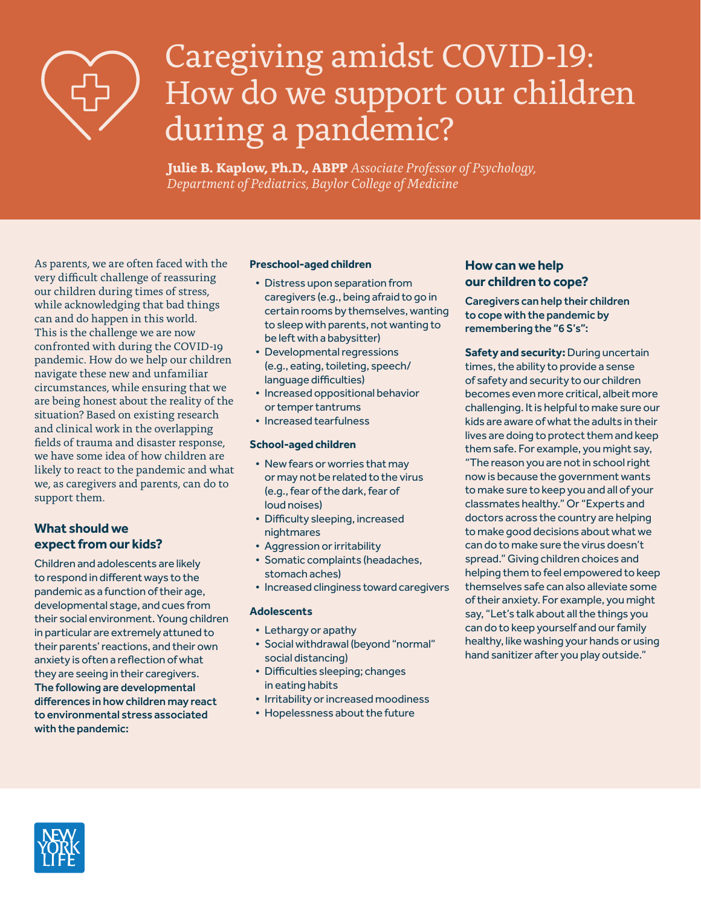

# Caregiving amidst COVID-19: How do we support our children during a pandemic?

 **Julie B. Kaplow, Ph.D., ABPP** *Associate Professor of Psychology, Department of Pediatrics, Baylor College of Medicine*

As parents, we are often faced with the very difficult challenge of reassuring our children during times of stress, while acknowledging that bad things can and do happen in this world. This is the challenge we are now confronted with during the COVID-19 pandemic. How do we help our children navigate these new and unfamiliar circumstances, while ensuring that we are being honest about the reality of the situation? Based on existing research and clinical work in the overlapping fields of trauma and disaster response, we have some idea of how children are likely to react to the pandemic and what we, as caregivers and parents, can do to support them.

## **What should we expect from our kids?**

Children and adolescents are likely to respond in different ways to the pandemic as a function of their age, developmental stage, and cues from their social environment. Young children in particular are extremely attuned to their parents' reactions, and their own anxiety is often a reflection of what they are seeing in their caregivers. The following are developmental differences in how children may react to environmental stress associated with the pandemic:

#### **Preschool-aged children**

- Distress upon separation from caregivers (e.g., being afraid to go in certain rooms by themselves, wanting to sleep with parents, not wanting to be left with a babysitter)
- Developmental regressions (e.g., eating, toileting, speech/ language difficulties)
- Increased oppositional behavior or temper tantrums
- Increased tearfulness

#### **School-aged children**

- New fears or worries that may or may not be related to the virus (e.g., fear of the dark, fear of loud noises)
- Difficulty sleeping, increased nightmares
- Aggression or irritability
- Somatic complaints (headaches, stomach aches)
- Increased clinginess toward caregivers

#### **Adolescents**

- Lethargy or apathy
- Social withdrawal (beyond "normal" social distancing)
- Difficulties sleeping; changes in eating habits
- Irritability or increased moodiness
- Hopelessness about the future

### **How can we help our children to cope?**

Caregivers can help their children to cope with the pandemic by remembering the "6 S's":

**Safety and security:** During uncertain times, the ability to provide a sense of safety and security to our children becomes even more critical, albeit more challenging. It is helpful to make sure our kids are aware of what the adults in their lives are doing to protect them and keep them safe. For example, you might say, "The reason you are not in school right now is because the government wants to make sure to keep you and all of your classmates healthy." Or "Experts and doctors across the country are helping to make good decisions about what we can do to make sure the virus doesn't spread." Giving children choices and helping them to feel empowered to keep themselves safe can also alleviate some of their anxiety. For example, you might say, "Let's talk about all the things you can do to keep yourself and our family healthy, like washing your hands or using hand sanitizer after you play outside."